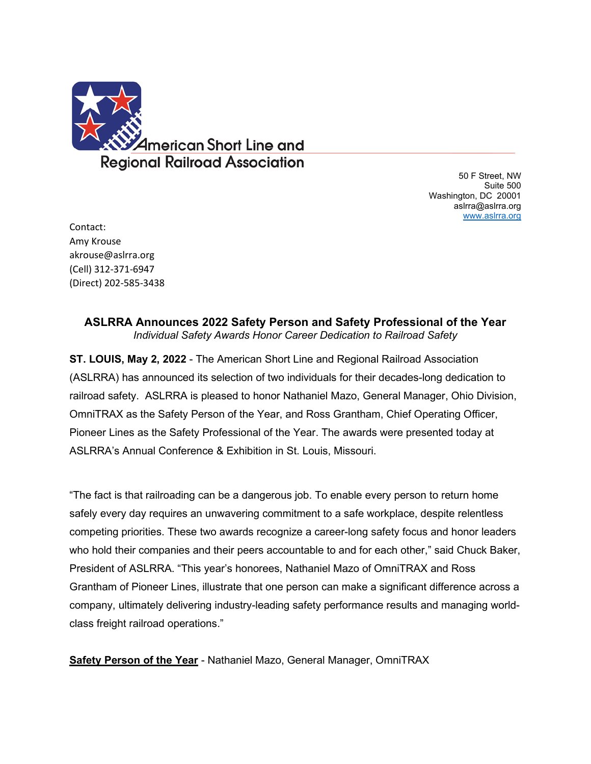

50 F Street, NW Suite 500 Washington, DC 20001 aslrra@aslrra.org [www.aslrra.org](http://www.aslrra.org/)

Contact: Amy Krouse akrouse@aslrra.org (Cell) 312-371-6947 (Direct) 202-585-3438

> **ASLRRA Announces 2022 Safety Person and Safety Professional of the Year**  *Individual Safety Awards Honor Career Dedication to Railroad Safety*

**ST. LOUIS, May 2, 2022** - The American Short Line and Regional Railroad Association (ASLRRA) has announced its selection of two individuals for their decades-long dedication to railroad safety. ASLRRA is pleased to honor Nathaniel Mazo, General Manager, Ohio Division, OmniTRAX as the Safety Person of the Year, and Ross Grantham, Chief Operating Officer, Pioneer Lines as the Safety Professional of the Year. The awards were presented today at ASLRRA's Annual Conference & Exhibition in St. Louis, Missouri.

"The fact is that railroading can be a dangerous job. To enable every person to return home safely every day requires an unwavering commitment to a safe workplace, despite relentless competing priorities. These two awards recognize a career-long safety focus and honor leaders who hold their companies and their peers accountable to and for each other," said Chuck Baker, President of ASLRRA. "This year's honorees, Nathaniel Mazo of OmniTRAX and Ross Grantham of Pioneer Lines, illustrate that one person can make a significant difference across a company, ultimately delivering industry-leading safety performance results and managing worldclass freight railroad operations."

**Safety Person of the Year** - Nathaniel Mazo, General Manager, OmniTRAX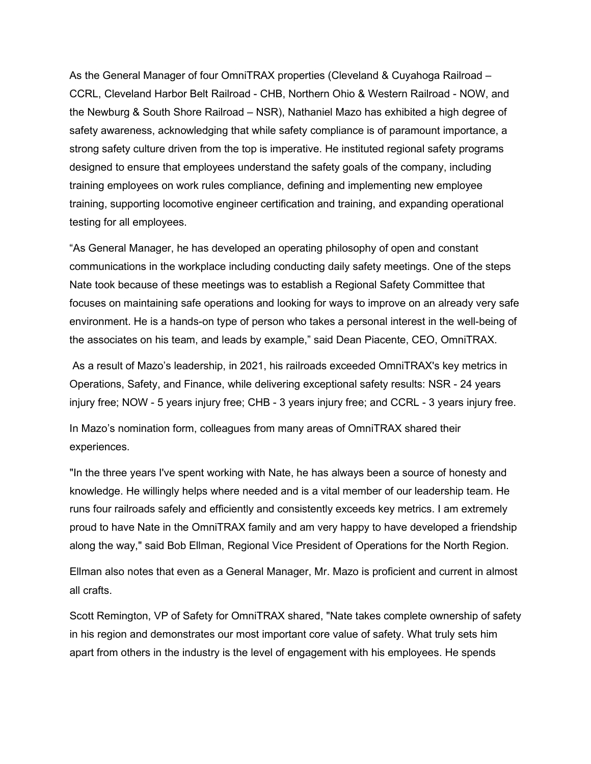As the General Manager of four OmniTRAX properties (Cleveland & Cuyahoga Railroad – CCRL, Cleveland Harbor Belt Railroad - CHB, Northern Ohio & Western Railroad - NOW, and the Newburg & South Shore Railroad – NSR), Nathaniel Mazo has exhibited a high degree of safety awareness, acknowledging that while safety compliance is of paramount importance, a strong safety culture driven from the top is imperative. He instituted regional safety programs designed to ensure that employees understand the safety goals of the company, including training employees on work rules compliance, defining and implementing new employee training, supporting locomotive engineer certification and training, and expanding operational testing for all employees.

"As General Manager, he has developed an operating philosophy of open and constant communications in the workplace including conducting daily safety meetings. One of the steps Nate took because of these meetings was to establish a Regional Safety Committee that focuses on maintaining safe operations and looking for ways to improve on an already very safe environment. He is a hands-on type of person who takes a personal interest in the well-being of the associates on his team, and leads by example," said Dean Piacente, CEO, OmniTRAX.

As a result of Mazo's leadership, in 2021, his railroads exceeded OmniTRAX's key metrics in Operations, Safety, and Finance, while delivering exceptional safety results: NSR - 24 years injury free; NOW - 5 years injury free; CHB - 3 years injury free; and CCRL - 3 years injury free.

In Mazo's nomination form, colleagues from many areas of OmniTRAX shared their experiences.

"In the three years I've spent working with Nate, he has always been a source of honesty and knowledge. He willingly helps where needed and is a vital member of our leadership team. He runs four railroads safely and efficiently and consistently exceeds key metrics. I am extremely proud to have Nate in the OmniTRAX family and am very happy to have developed a friendship along the way," said Bob Ellman, Regional Vice President of Operations for the North Region.

Ellman also notes that even as a General Manager, Mr. Mazo is proficient and current in almost all crafts.

Scott Remington, VP of Safety for OmniTRAX shared, "Nate takes complete ownership of safety in his region and demonstrates our most important core value of safety. What truly sets him apart from others in the industry is the level of engagement with his employees. He spends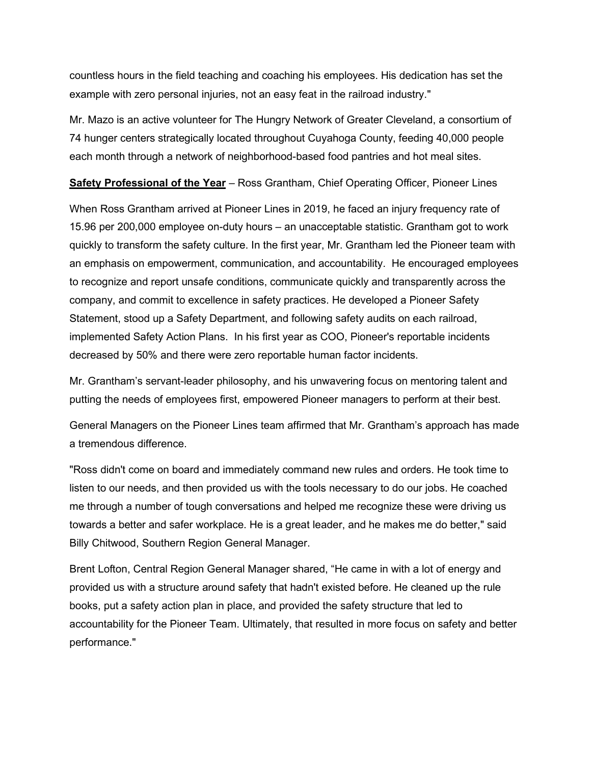countless hours in the field teaching and coaching his employees. His dedication has set the example with zero personal injuries, not an easy feat in the railroad industry."

Mr. Mazo is an active volunteer for The Hungry Network of Greater Cleveland, a consortium of 74 hunger centers strategically located throughout Cuyahoga County, feeding 40,000 people each month through a network of neighborhood-based food pantries and hot meal sites.

**Safety Professional of the Year** – Ross Grantham, Chief Operating Officer, Pioneer Lines

When Ross Grantham arrived at Pioneer Lines in 2019, he faced an injury frequency rate of 15.96 per 200,000 employee on-duty hours – an unacceptable statistic. Grantham got to work quickly to transform the safety culture. In the first year, Mr. Grantham led the Pioneer team with an emphasis on empowerment, communication, and accountability. He encouraged employees to recognize and report unsafe conditions, communicate quickly and transparently across the company, and commit to excellence in safety practices. He developed a Pioneer Safety Statement, stood up a Safety Department, and following safety audits on each railroad, implemented Safety Action Plans. In his first year as COO, Pioneer's reportable incidents decreased by 50% and there were zero reportable human factor incidents.

Mr. Grantham's servant-leader philosophy, and his unwavering focus on mentoring talent and putting the needs of employees first, empowered Pioneer managers to perform at their best.

General Managers on the Pioneer Lines team affirmed that Mr. Grantham's approach has made a tremendous difference.

"Ross didn't come on board and immediately command new rules and orders. He took time to listen to our needs, and then provided us with the tools necessary to do our jobs. He coached me through a number of tough conversations and helped me recognize these were driving us towards a better and safer workplace. He is a great leader, and he makes me do better," said Billy Chitwood, Southern Region General Manager.

Brent Lofton, Central Region General Manager shared, "He came in with a lot of energy and provided us with a structure around safety that hadn't existed before. He cleaned up the rule books, put a safety action plan in place, and provided the safety structure that led to accountability for the Pioneer Team. Ultimately, that resulted in more focus on safety and better performance."